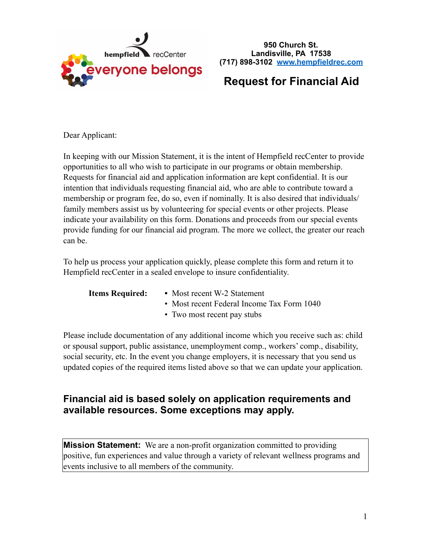

**950 Church St. Landisville, PA 17538 (717) 898-3102 [www.hempfieldrec.com](http://www.hempfieldrec.com)**

# **Request for Financial Aid**

Dear Applicant:

In keeping with our Mission Statement, it is the intent of Hempfield recCenter to provide opportunities to all who wish to participate in our programs or obtain membership. Requests for financial aid and application information are kept confidential. It is our intention that individuals requesting financial aid, who are able to contribute toward a membership or program fee, do so, even if nominally. It is also desired that individuals/ family members assist us by volunteering for special events or other projects. Please indicate your availability on this form. Donations and proceeds from our special events provide funding for our financial aid program. The more we collect, the greater our reach can be.

To help us process your application quickly, please complete this form and return it to Hempfield recCenter in a sealed envelope to insure confidentiality.

- **Items Required:** Most recent W-2 Statement
	- Most recent Federal Income Tax Form 1040
	- Two most recent pay stubs

Please include documentation of any additional income which you receive such as: child or spousal support, public assistance, unemployment comp., workers' comp., disability, social security, etc. In the event you change employers, it is necessary that you send us updated copies of the required items listed above so that we can update your application.

## **Financial aid is based solely on application requirements and available resources. Some exceptions may apply.**

**Mission Statement:** We are a non-profit organization committed to providing positive, fun experiences and value through a variety of relevant wellness programs and events inclusive to all members of the community.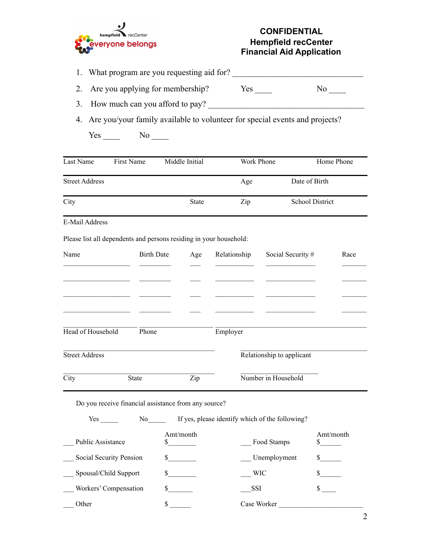

### **CONFIDENTIAL Hempfield recCenter Financial Aid Application**

| 1. What program are you requesting aid for? |
|---------------------------------------------|
|                                             |

- 2. Are you applying for membership? Yes \_\_\_\_ No \_\_\_\_
- 3. How much can you afford to pay? \_\_\_\_\_\_\_\_\_\_\_\_\_\_\_\_\_\_\_\_\_\_\_\_\_\_\_\_\_\_\_\_\_\_\_\_\_
- 4. Are you/your family available to volunteer for special events and projects?

Yes \_\_\_\_\_ No \_\_\_\_

| Last Name             | First Name | Middle Initial | Work Phone | Home Phone             |
|-----------------------|------------|----------------|------------|------------------------|
| <b>Street Address</b> |            |                | Age        | Date of Birth          |
| City                  |            | <b>State</b>   | Zip        | <b>School District</b> |
| E-Mail Address        |            |                |            |                        |

Please list all dependents and persons residing in your household:

| Name                  | <b>Birth Date</b> | Age | Relationship | Social Security #         | Race |
|-----------------------|-------------------|-----|--------------|---------------------------|------|
|                       |                   |     |              |                           |      |
|                       |                   |     |              |                           |      |
|                       |                   |     |              |                           |      |
|                       |                   |     |              |                           |      |
| Head of Household     | Phone             |     | Employer     |                           |      |
| <b>Street Address</b> |                   |     |              | Relationship to applicant |      |
| City                  | <b>State</b>      | Zip |              | Number in Household       |      |

Yes \_\_\_\_\_ No\_\_\_\_\_ If yes, please identify which of the following?

| <b>Public Assistance</b> | Amt/month | Food Stamps  | Amt/month |
|--------------------------|-----------|--------------|-----------|
| Social Security Pension  |           | Unemployment |           |
| Spousal/Child Support    |           | <b>WIC</b>   |           |
| Workers' Compensation    |           | <b>SSI</b>   |           |
| Other                    |           | Case Worker  |           |